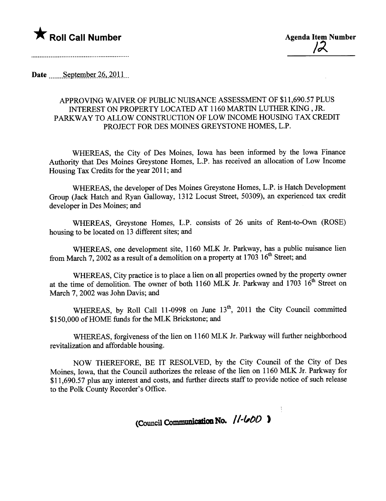

Date September  $26, 2011$ 

## APPROVING WAIVER OF PUBLIC NUISANCE ASSESSMENT OF \$11,690.57 PLUS INTEREST ON PROPERTY LOCATED AT 1160 MARTIN LUTHER KING. JR. PARWAY TO ALLOW CONSTRUCTION OF LOW INCOME HOUSING TAX CREDIT PROJECT FOR DES MOINES GREYSTONE HOMES, L.P.

WHEREAS, the City of Des Moines, Iowa has been informed by the Iowa Finance Authority that Des Moines Greystone Homes, L.P. has received an allocation of Low Income Housing Tax Credits for the year 2011; and

WHEREAS, the developer of Des Moines Greystone Homes, L.P. is Hatch Development Group (Jack Hatch and Ryan Galloway, 1312 Locust Street, 50309), an experienced tax credit developer in Des Moines; and

WHEREAS, Greystone Homes, L.P. consists of 26 unts of Rent-to-Own (ROSE) housing to be located on 13 different sites; and

WHEREAS, one development site, 1160 MLK Jr. Parkway, has a public nuisance lien from March 7, 2002 as a result of a demolition on a property at  $1703 \ 16^{th}$  Street; and

WHEREAS, City practice is to place a lien on all properties owned by the property owner at the time of demolition. The owner of both 1160 MLK Jr. Parkway and 1703  $16^{th}$  Street on March 7, 2002 was John Davis; and

WHEREAS, by Roll Call 11-0998 on June 13<sup>th</sup>, 2011 the City Council committed \$150,000 of HOME funds for the MLK Brickstone; and

WHEREAS, forgiveness of the lien on 1160 MLK Jr. Parkway will further neighborhood revitalization and affordable housing.

NOW THEREFORE, BE IT RESOLVED, by the City Council of the City of Des Moines, Iowa, that the Council authorizes the release of the lien on 1160 MLK Jr. Parkway for \$11,690.57 plus any interest and costs, and further directs staff to provide notice of such release to the Polk County Recorder's Office.

(Council Communication No. //-600)